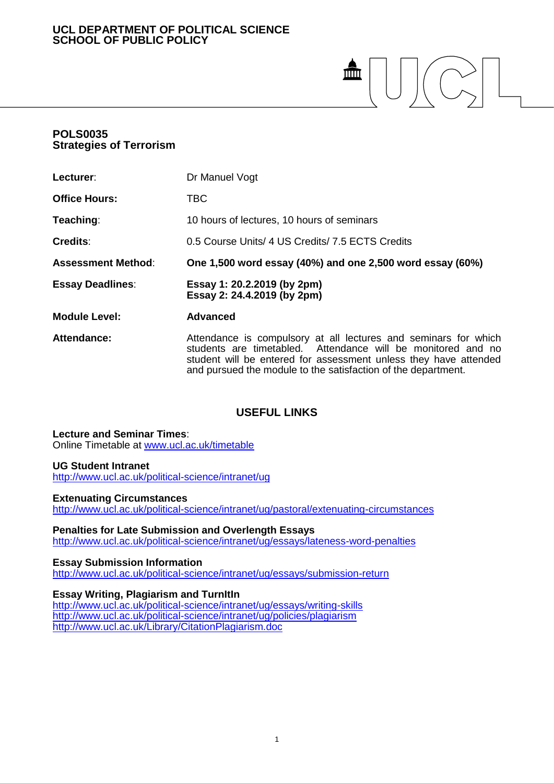## **UCL DEPARTMENT OF POLITICAL SCIENCE SCHOOL OF PUBLIC POLICY**

# $\mathbf{m}$  $\left|\left|\left(\bigcap_{\infty}\right)\right|\right|$

## **POLS0035 Strategies of Terrorism**

| Lecturer:                 | Dr Manuel Vogt                                                                                                                                                                                                                                                       |
|---------------------------|----------------------------------------------------------------------------------------------------------------------------------------------------------------------------------------------------------------------------------------------------------------------|
| <b>Office Hours:</b>      | <b>TBC</b>                                                                                                                                                                                                                                                           |
| Teaching:                 | 10 hours of lectures, 10 hours of seminars                                                                                                                                                                                                                           |
| Credits:                  | 0.5 Course Units/ 4 US Credits/ 7.5 ECTS Credits                                                                                                                                                                                                                     |
| <b>Assessment Method:</b> | One 1,500 word essay (40%) and one 2,500 word essay (60%)                                                                                                                                                                                                            |
| <b>Essay Deadlines:</b>   | Essay 1: 20.2.2019 (by 2pm)<br>Essay 2: 24.4.2019 (by 2pm)                                                                                                                                                                                                           |
| <b>Module Level:</b>      | <b>Advanced</b>                                                                                                                                                                                                                                                      |
| <b>Attendance:</b>        | Attendance is compulsory at all lectures and seminars for which<br>students are timetabled. Attendance will be monitored and no<br>student will be entered for assessment unless they have attended<br>and pursued the module to the satisfaction of the department. |

## **USEFUL LINKS**

**Lecture and Seminar Times**: Online Timetable at [www.ucl.ac.uk/timetable](http://www.ucl.ac.uk/timetable)

#### **UG Student Intranet**

<http://www.ucl.ac.uk/political-science/intranet/ug>

#### **Extenuating Circumstances**

<http://www.ucl.ac.uk/political-science/intranet/ug/pastoral/extenuating-circumstances>

#### **Penalties for Late Submission and Overlength Essays**

<http://www.ucl.ac.uk/political-science/intranet/ug/essays/lateness-word-penalties>

## **Essay Submission Information**

<http://www.ucl.ac.uk/political-science/intranet/ug/essays/submission-return>

## **Essay Writing, Plagiarism and TurnItIn**

<http://www.ucl.ac.uk/political-science/intranet/ug/essays/writing-skills> <http://www.ucl.ac.uk/political-science/intranet/ug/policies/plagiarism> <http://www.ucl.ac.uk/Library/CitationPlagiarism.doc>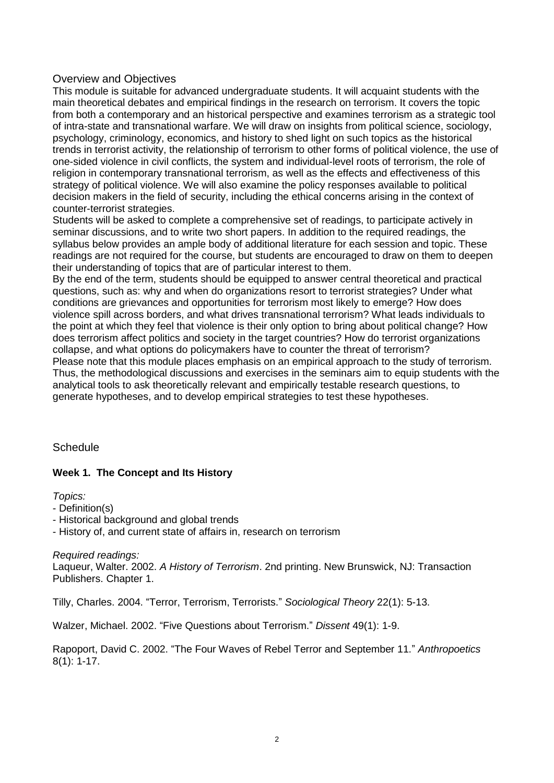## Overview and Objectives

This module is suitable for advanced undergraduate students. It will acquaint students with the main theoretical debates and empirical findings in the research on terrorism. It covers the topic from both a contemporary and an historical perspective and examines terrorism as a strategic tool of intra-state and transnational warfare. We will draw on insights from political science, sociology, psychology, criminology, economics, and history to shed light on such topics as the historical trends in terrorist activity, the relationship of terrorism to other forms of political violence, the use of one-sided violence in civil conflicts, the system and individual-level roots of terrorism, the role of religion in contemporary transnational terrorism, as well as the effects and effectiveness of this strategy of political violence. We will also examine the policy responses available to political decision makers in the field of security, including the ethical concerns arising in the context of counter-terrorist strategies.

Students will be asked to complete a comprehensive set of readings, to participate actively in seminar discussions, and to write two short papers. In addition to the required readings, the syllabus below provides an ample body of additional literature for each session and topic. These readings are not required for the course, but students are encouraged to draw on them to deepen their understanding of topics that are of particular interest to them.

By the end of the term, students should be equipped to answer central theoretical and practical questions, such as: why and when do organizations resort to terrorist strategies? Under what conditions are grievances and opportunities for terrorism most likely to emerge? How does violence spill across borders, and what drives transnational terrorism? What leads individuals to the point at which they feel that violence is their only option to bring about political change? How does terrorism affect politics and society in the target countries? How do terrorist organizations collapse, and what options do policymakers have to counter the threat of terrorism? Please note that this module places emphasis on an empirical approach to the study of terrorism. Thus, the methodological discussions and exercises in the seminars aim to equip students with the analytical tools to ask theoretically relevant and empirically testable research questions, to generate hypotheses, and to develop empirical strategies to test these hypotheses.

## **Schedule**

## **Week 1. The Concept and Its History**

*Topics:*

- Definition(s)
- Historical background and global trends

- History of, and current state of affairs in, research on terrorism

## *Required readings:*

Laqueur, Walter. 2002. *A History of Terrorism*. 2nd printing. New Brunswick, NJ: Transaction Publishers. Chapter 1.

Tilly, Charles. 2004. "Terror, Terrorism, Terrorists." *Sociological Theory* 22(1): 5-13.

Walzer, Michael. 2002. "Five Questions about Terrorism." *Dissent* 49(1): 1-9.

Rapoport, David C. 2002. "The Four Waves of Rebel Terror and September 11." *Anthropoetics* 8(1): 1-17.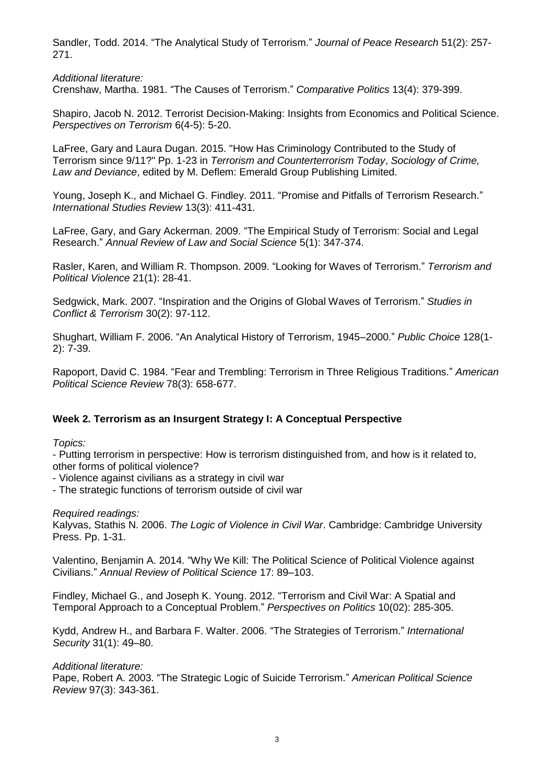Sandler, Todd. 2014. "The Analytical Study of Terrorism." *Journal of Peace Research* 51(2): 257- 271.

*Additional literature:*

Crenshaw, Martha. 1981. "The Causes of Terrorism." *Comparative Politics* 13(4): 379-399.

Shapiro, Jacob N. 2012. Terrorist Decision-Making: Insights from Economics and Political Science. *Perspectives on Terrorism* 6(4-5): 5-20.

LaFree, Gary and Laura Dugan. 2015. "How Has Criminology Contributed to the Study of Terrorism since 9/11?" Pp. 1-23 in *Terrorism and Counterterrorism Today*, *Sociology of Crime, Law and Deviance*, edited by M. Deflem: Emerald Group Publishing Limited.

Young, Joseph K., and Michael G. Findley. 2011. "Promise and Pitfalls of Terrorism Research." *International Studies Review* 13(3): 411-431.

LaFree, Gary, and Gary Ackerman. 2009. "The Empirical Study of Terrorism: Social and Legal Research." *Annual Review of Law and Social Science* 5(1): 347-374.

Rasler, Karen, and William R. Thompson. 2009. "Looking for Waves of Terrorism." *Terrorism and Political Violence* 21(1): 28-41.

Sedgwick, Mark. 2007. "Inspiration and the Origins of Global Waves of Terrorism." *Studies in Conflict & Terrorism* 30(2): 97-112.

Shughart, William F. 2006. "An Analytical History of Terrorism, 1945–2000." *Public Choice* 128(1- 2): 7-39.

Rapoport, David C. 1984. "Fear and Trembling: Terrorism in Three Religious Traditions." *American Political Science Review* 78(3): 658-677.

## **Week 2. Terrorism as an Insurgent Strategy I: A Conceptual Perspective**

*Topics:*

- Putting terrorism in perspective: How is terrorism distinguished from, and how is it related to, other forms of political violence?

- Violence against civilians as a strategy in civil war

- The strategic functions of terrorism outside of civil war

*Required readings:*

Kalyvas, Stathis N. 2006. *The Logic of Violence in Civil War*. Cambridge: Cambridge University Press. Pp. 1-31.

Valentino, Benjamin A. 2014. "Why We Kill: The Political Science of Political Violence against Civilians." *Annual Review of Political Science* 17: 89–103.

Findley, Michael G., and Joseph K. Young. 2012. "Terrorism and Civil War: A Spatial and Temporal Approach to a Conceptual Problem." *Perspectives on Politics* 10(02): 285-305.

Kydd, Andrew H., and Barbara F. Walter. 2006. "The Strategies of Terrorism." *International Security* 31(1): 49–80.

*Additional literature:*

Pape, Robert A. 2003. "The Strategic Logic of Suicide Terrorism." *American Political Science Review* 97(3): 343-361.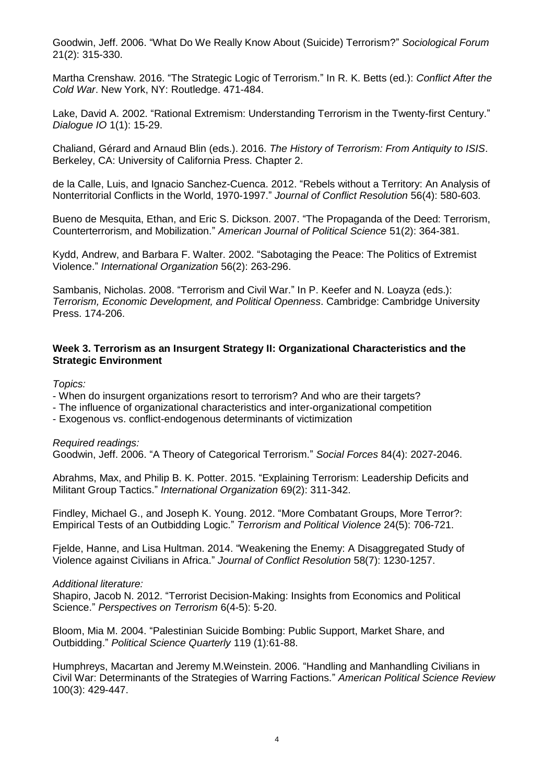Goodwin, Jeff. 2006. "What Do We Really Know About (Suicide) Terrorism?" *Sociological Forum* 21(2): 315-330.

Martha Crenshaw. 2016. "The Strategic Logic of Terrorism." In R. K. Betts (ed.): *Conflict After the Cold War*. New York, NY: Routledge. 471-484.

Lake, David A. 2002. "Rational Extremism: Understanding Terrorism in the Twenty-first Century." *Dialogue IO* 1(1): 15-29.

Chaliand, Gérard and Arnaud Blin (eds.). 2016. *The History of Terrorism: From Antiquity to ISIS*. Berkeley, CA: University of California Press. Chapter 2.

de la Calle, Luis, and Ignacio Sanchez-Cuenca. 2012. "Rebels without a Territory: An Analysis of Nonterritorial Conflicts in the World, 1970-1997." *Journal of Conflict Resolution* 56(4): 580-603.

Bueno de Mesquita, Ethan, and Eric S. Dickson. 2007. "The Propaganda of the Deed: Terrorism, Counterterrorism, and Mobilization." *American Journal of Political Science* 51(2): 364-381.

Kydd, Andrew, and Barbara F. Walter. 2002. "Sabotaging the Peace: The Politics of Extremist Violence." *International Organization* 56(2): 263-296.

Sambanis, Nicholas. 2008. "Terrorism and Civil War." In P. Keefer and N. Loayza (eds.): *Terrorism, Economic Development, and Political Openness*. Cambridge: Cambridge University Press. 174-206.

#### **Week 3. Terrorism as an Insurgent Strategy II: Organizational Characteristics and the Strategic Environment**

*Topics:*

- When do insurgent organizations resort to terrorism? And who are their targets?

- The influence of organizational characteristics and inter-organizational competition
- Exogenous vs. conflict-endogenous determinants of victimization

#### *Required readings:*

Goodwin, Jeff. 2006. "A Theory of Categorical Terrorism." *Social Forces* 84(4): 2027-2046.

Abrahms, Max, and Philip B. K. Potter. 2015. "Explaining Terrorism: Leadership Deficits and Militant Group Tactics." *International Organization* 69(2): 311-342.

Findley, Michael G., and Joseph K. Young. 2012. "More Combatant Groups, More Terror?: Empirical Tests of an Outbidding Logic." *Terrorism and Political Violence* 24(5): 706-721.

Fjelde, Hanne, and Lisa Hultman. 2014. "Weakening the Enemy: A Disaggregated Study of Violence against Civilians in Africa." *Journal of Conflict Resolution* 58(7): 1230-1257.

#### *Additional literature:*

Shapiro, Jacob N. 2012. "Terrorist Decision-Making: Insights from Economics and Political Science." *Perspectives on Terrorism* 6(4-5): 5-20.

Bloom, Mia M. 2004. "Palestinian Suicide Bombing: Public Support, Market Share, and Outbidding." *Political Science Quarterly* 119 (1):61-88.

Humphreys, Macartan and Jeremy M.Weinstein. 2006. "Handling and Manhandling Civilians in Civil War: Determinants of the Strategies of Warring Factions." *American Political Science Review* 100(3): 429-447.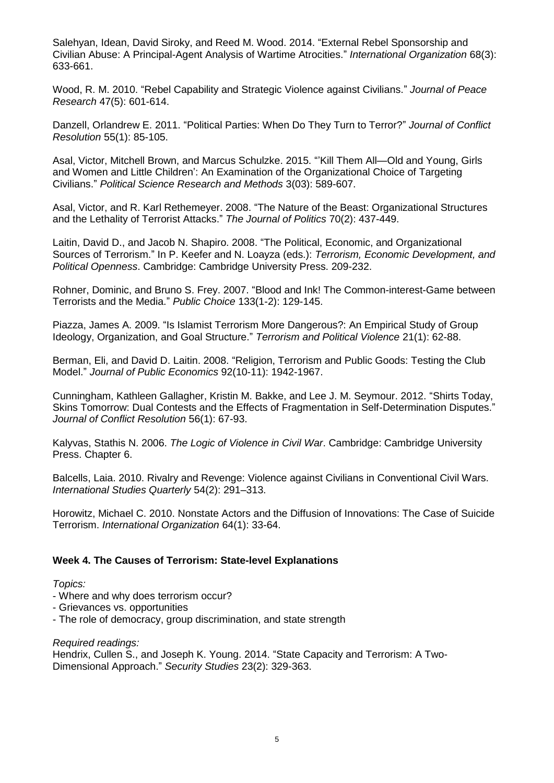Salehyan, Idean, David Siroky, and Reed M. Wood. 2014. "External Rebel Sponsorship and Civilian Abuse: A Principal-Agent Analysis of Wartime Atrocities." *International Organization* 68(3): 633-661.

Wood, R. M. 2010. "Rebel Capability and Strategic Violence against Civilians." *Journal of Peace Research* 47(5): 601-614.

Danzell, Orlandrew E. 2011. "Political Parties: When Do They Turn to Terror?" *Journal of Conflict Resolution* 55(1): 85-105.

Asal, Victor, Mitchell Brown, and Marcus Schulzke. 2015. "'Kill Them All—Old and Young, Girls and Women and Little Children': An Examination of the Organizational Choice of Targeting Civilians." *Political Science Research and Methods* 3(03): 589-607.

Asal, Victor, and R. Karl Rethemeyer. 2008. "The Nature of the Beast: Organizational Structures and the Lethality of Terrorist Attacks." *The Journal of Politics* 70(2): 437-449.

Laitin, David D., and Jacob N. Shapiro. 2008. "The Political, Economic, and Organizational Sources of Terrorism." In P. Keefer and N. Loayza (eds.): *Terrorism, Economic Development, and Political Openness*. Cambridge: Cambridge University Press. 209-232.

Rohner, Dominic, and Bruno S. Frey. 2007. "Blood and Ink! The Common-interest-Game between Terrorists and the Media." *Public Choice* 133(1-2): 129-145.

Piazza, James A. 2009. "Is Islamist Terrorism More Dangerous?: An Empirical Study of Group Ideology, Organization, and Goal Structure." *Terrorism and Political Violence* 21(1): 62-88.

Berman, Eli, and David D. Laitin. 2008. "Religion, Terrorism and Public Goods: Testing the Club Model." *Journal of Public Economics* 92(10-11): 1942-1967.

Cunningham, Kathleen Gallagher, Kristin M. Bakke, and Lee J. M. Seymour. 2012. "Shirts Today, Skins Tomorrow: Dual Contests and the Effects of Fragmentation in Self-Determination Disputes." *Journal of Conflict Resolution* 56(1): 67-93.

Kalyvas, Stathis N. 2006. *The Logic of Violence in Civil War*. Cambridge: Cambridge University Press. Chapter 6.

Balcells, Laia. 2010. Rivalry and Revenge: Violence against Civilians in Conventional Civil Wars. *International Studies Quarterly* 54(2): 291–313.

Horowitz, Michael C. 2010. Nonstate Actors and the Diffusion of Innovations: The Case of Suicide Terrorism. *International Organization* 64(1): 33-64.

#### **Week 4. The Causes of Terrorism: State-level Explanations**

#### *Topics:*

- Where and why does terrorism occur?
- Grievances vs. opportunities
- The role of democracy, group discrimination, and state strength

#### *Required readings:*

Hendrix, Cullen S., and Joseph K. Young. 2014. "State Capacity and Terrorism: A Two-Dimensional Approach." *Security Studies* 23(2): 329-363.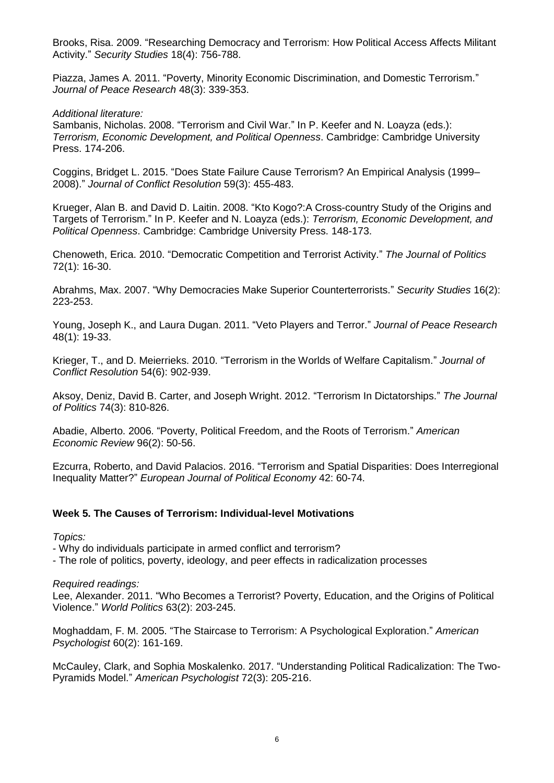Brooks, Risa. 2009. "Researching Democracy and Terrorism: How Political Access Affects Militant Activity." *Security Studies* 18(4): 756-788.

Piazza, James A. 2011. "Poverty, Minority Economic Discrimination, and Domestic Terrorism." *Journal of Peace Research* 48(3): 339-353.

*Additional literature:*

Sambanis, Nicholas. 2008. "Terrorism and Civil War." In P. Keefer and N. Loayza (eds.): *Terrorism, Economic Development, and Political Openness*. Cambridge: Cambridge University Press. 174-206.

Coggins, Bridget L. 2015. "Does State Failure Cause Terrorism? An Empirical Analysis (1999– 2008)." *Journal of Conflict Resolution* 59(3): 455-483.

Krueger, Alan B. and David D. Laitin. 2008. "Kto Kogo?:A Cross-country Study of the Origins and Targets of Terrorism." In P. Keefer and N. Loayza (eds.): *Terrorism, Economic Development, and Political Openness*. Cambridge: Cambridge University Press. 148-173.

Chenoweth, Erica. 2010. "Democratic Competition and Terrorist Activity." *The Journal of Politics* 72(1): 16-30.

Abrahms, Max. 2007. "Why Democracies Make Superior Counterterrorists." *Security Studies* 16(2): 223-253.

Young, Joseph K., and Laura Dugan. 2011. "Veto Players and Terror." *Journal of Peace Research* 48(1): 19-33.

Krieger, T., and D. Meierrieks. 2010. "Terrorism in the Worlds of Welfare Capitalism." *Journal of Conflict Resolution* 54(6): 902-939.

Aksoy, Deniz, David B. Carter, and Joseph Wright. 2012. "Terrorism In Dictatorships." *The Journal of Politics* 74(3): 810-826.

Abadie, Alberto. 2006. "Poverty, Political Freedom, and the Roots of Terrorism." *American Economic Review* 96(2): 50-56.

Ezcurra, Roberto, and David Palacios. 2016. "Terrorism and Spatial Disparities: Does Interregional Inequality Matter?" *European Journal of Political Economy* 42: 60-74.

## **Week 5. The Causes of Terrorism: Individual-level Motivations**

*Topics:*

- Why do individuals participate in armed conflict and terrorism?

- The role of politics, poverty, ideology, and peer effects in radicalization processes

*Required readings:*

Lee, Alexander. 2011. "Who Becomes a Terrorist? Poverty, Education, and the Origins of Political Violence." *World Politics* 63(2): 203-245.

Moghaddam, F. M. 2005. "The Staircase to Terrorism: A Psychological Exploration." *American Psychologist* 60(2): 161-169.

McCauley, Clark, and Sophia Moskalenko. 2017. "Understanding Political Radicalization: The Two-Pyramids Model." *American Psychologist* 72(3): 205-216.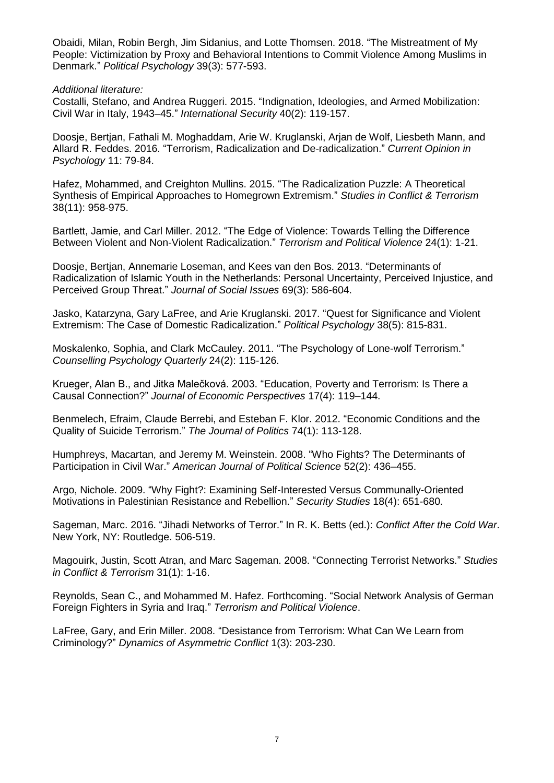Obaidi, Milan, Robin Bergh, Jim Sidanius, and Lotte Thomsen. 2018. "The Mistreatment of My People: Victimization by Proxy and Behavioral Intentions to Commit Violence Among Muslims in Denmark." *Political Psychology* 39(3): 577-593.

#### *Additional literature:*

Costalli, Stefano, and Andrea Ruggeri. 2015. "Indignation, Ideologies, and Armed Mobilization: Civil War in Italy, 1943–45." *International Security* 40(2): 119-157.

Doosje, Bertjan, Fathali M. Moghaddam, Arie W. Kruglanski, Arjan de Wolf, Liesbeth Mann, and Allard R. Feddes. 2016. "Terrorism, Radicalization and De-radicalization." *Current Opinion in Psychology* 11: 79-84.

Hafez, Mohammed, and Creighton Mullins. 2015. "The Radicalization Puzzle: A Theoretical Synthesis of Empirical Approaches to Homegrown Extremism." *Studies in Conflict & Terrorism* 38(11): 958-975.

Bartlett, Jamie, and Carl Miller. 2012. "The Edge of Violence: Towards Telling the Difference Between Violent and Non-Violent Radicalization." *Terrorism and Political Violence* 24(1): 1-21.

Doosje, Bertjan, Annemarie Loseman, and Kees van den Bos. 2013. "Determinants of Radicalization of Islamic Youth in the Netherlands: Personal Uncertainty, Perceived Injustice, and Perceived Group Threat." *Journal of Social Issues* 69(3): 586-604.

Jasko, Katarzyna, Gary LaFree, and Arie Kruglanski. 2017. "Quest for Significance and Violent Extremism: The Case of Domestic Radicalization." *Political Psychology* 38(5): 815-831.

Moskalenko, Sophia, and Clark McCauley. 2011. "The Psychology of Lone-wolf Terrorism." *Counselling Psychology Quarterly* 24(2): 115-126.

Krueger, Alan B., and Jitka Malečková. 2003. "Education, Poverty and Terrorism: Is There a Causal Connection?" *Journal of Economic Perspectives* 17(4): 119–144.

Benmelech, Efraim, Claude Berrebi, and Esteban F. Klor. 2012. "Economic Conditions and the Quality of Suicide Terrorism." *The Journal of Politics* 74(1): 113-128.

Humphreys, Macartan, and Jeremy M. Weinstein. 2008. "Who Fights? The Determinants of Participation in Civil War." *American Journal of Political Science* 52(2): 436–455.

Argo, Nichole. 2009. "Why Fight?: Examining Self-Interested Versus Communally-Oriented Motivations in Palestinian Resistance and Rebellion." *Security Studies* 18(4): 651-680.

Sageman, Marc. 2016. "Jihadi Networks of Terror." In R. K. Betts (ed.): *Conflict After the Cold War*. New York, NY: Routledge. 506-519.

Magouirk, Justin, Scott Atran, and Marc Sageman. 2008. "Connecting Terrorist Networks." *Studies in Conflict & Terrorism* 31(1): 1-16.

Reynolds, Sean C., and Mohammed M. Hafez. Forthcoming. "Social Network Analysis of German Foreign Fighters in Syria and Iraq." *Terrorism and Political Violence*.

LaFree, Gary, and Erin Miller. 2008. "Desistance from Terrorism: What Can We Learn from Criminology?" *Dynamics of Asymmetric Conflict* 1(3): 203-230.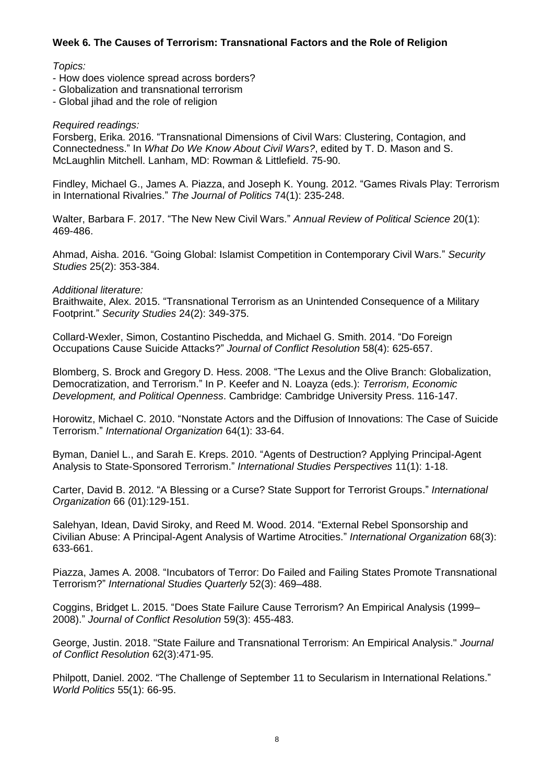## **Week 6. The Causes of Terrorism: Transnational Factors and the Role of Religion**

#### *Topics:*

- How does violence spread across borders?
- Globalization and transnational terrorism
- Global jihad and the role of religion

#### *Required readings:*

Forsberg, Erika. 2016. "Transnational Dimensions of Civil Wars: Clustering, Contagion, and Connectedness." In *What Do We Know About Civil Wars?*, edited by T. D. Mason and S. McLaughlin Mitchell. Lanham, MD: Rowman & Littlefield. 75-90.

Findley, Michael G., James A. Piazza, and Joseph K. Young. 2012. "Games Rivals Play: Terrorism in International Rivalries." *The Journal of Politics* 74(1): 235-248.

Walter, Barbara F. 2017. "The New New Civil Wars." *Annual Review of Political Science* 20(1): 469-486.

Ahmad, Aisha. 2016. "Going Global: Islamist Competition in Contemporary Civil Wars." *Security Studies* 25(2): 353-384.

#### *Additional literature:*

Braithwaite, Alex. 2015. "Transnational Terrorism as an Unintended Consequence of a Military Footprint." *Security Studies* 24(2): 349-375.

Collard-Wexler, Simon, Costantino Pischedda, and Michael G. Smith. 2014. "Do Foreign Occupations Cause Suicide Attacks?" *Journal of Conflict Resolution* 58(4): 625-657.

Blomberg, S. Brock and Gregory D. Hess. 2008. "The Lexus and the Olive Branch: Globalization, Democratization, and Terrorism." In P. Keefer and N. Loayza (eds.): *Terrorism, Economic Development, and Political Openness*. Cambridge: Cambridge University Press. 116-147.

Horowitz, Michael C. 2010. "Nonstate Actors and the Diffusion of Innovations: The Case of Suicide Terrorism." *International Organization* 64(1): 33-64.

Byman, Daniel L., and Sarah E. Kreps. 2010. "Agents of Destruction? Applying Principal-Agent Analysis to State-Sponsored Terrorism." *International Studies Perspectives* 11(1): 1-18.

Carter, David B. 2012. "A Blessing or a Curse? State Support for Terrorist Groups." *International Organization* 66 (01):129-151.

Salehyan, Idean, David Siroky, and Reed M. Wood. 2014. "External Rebel Sponsorship and Civilian Abuse: A Principal-Agent Analysis of Wartime Atrocities." *International Organization* 68(3): 633-661.

Piazza, James A. 2008. "Incubators of Terror: Do Failed and Failing States Promote Transnational Terrorism?" *International Studies Quarterly* 52(3): 469–488.

Coggins, Bridget L. 2015. "Does State Failure Cause Terrorism? An Empirical Analysis (1999– 2008)." *Journal of Conflict Resolution* 59(3): 455-483.

George, Justin. 2018. "State Failure and Transnational Terrorism: An Empirical Analysis." *Journal of Conflict Resolution* 62(3):471-95.

Philpott, Daniel. 2002. "The Challenge of September 11 to Secularism in International Relations." *World Politics* 55(1): 66-95.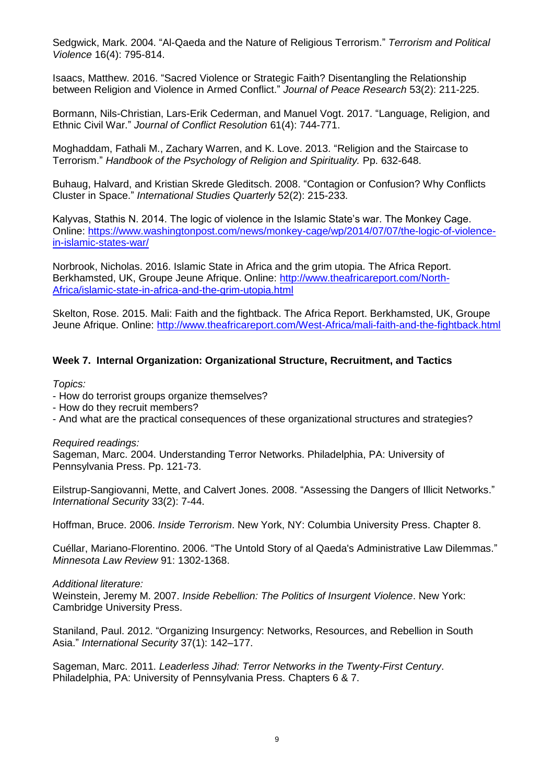Sedgwick, Mark. 2004. "Al-Qaeda and the Nature of Religious Terrorism." *Terrorism and Political Violence* 16(4): 795-814.

Isaacs, Matthew. 2016. "Sacred Violence or Strategic Faith? Disentangling the Relationship between Religion and Violence in Armed Conflict." *Journal of Peace Research* 53(2): 211-225.

Bormann, Nils-Christian, Lars-Erik Cederman, and Manuel Vogt. 2017. "Language, Religion, and Ethnic Civil War." *Journal of Conflict Resolution* 61(4): 744-771.

Moghaddam, Fathali M., Zachary Warren, and K. Love. 2013. "Religion and the Staircase to Terrorism." *Handbook of the Psychology of Religion and Spirituality.* Pp. 632-648.

Buhaug, Halvard, and Kristian Skrede Gleditsch. 2008. "Contagion or Confusion? Why Conflicts Cluster in Space." *International Studies Quarterly* 52(2): 215-233.

Kalyvas, Stathis N. 2014. The logic of violence in the Islamic State's war. The Monkey Cage. Online: [https://www.washingtonpost.com/news/monkey-cage/wp/2014/07/07/the-logic-of-violence](https://www.washingtonpost.com/news/monkey-cage/wp/2014/07/07/the-logic-of-violence-in-islamic-states-war/)[in-islamic-states-war/](https://www.washingtonpost.com/news/monkey-cage/wp/2014/07/07/the-logic-of-violence-in-islamic-states-war/)

Norbrook, Nicholas. 2016. Islamic State in Africa and the grim utopia. The Africa Report. Berkhamsted, UK, Groupe Jeune Afrique. Online: [http://www.theafricareport.com/North-](http://www.theafricareport.com/North-Africa/islamic-state-in-africa-and-the-grim-utopia.html)[Africa/islamic-state-in-africa-and-the-grim-utopia.html](http://www.theafricareport.com/North-Africa/islamic-state-in-africa-and-the-grim-utopia.html)

Skelton, Rose. 2015. Mali: Faith and the fightback. The Africa Report. Berkhamsted, UK, Groupe Jeune Afrique. Online:<http://www.theafricareport.com/West-Africa/mali-faith-and-the-fightback.html>

## **Week 7. Internal Organization: Organizational Structure, Recruitment, and Tactics**

#### *Topics:*

- How do terrorist groups organize themselves?
- How do they recruit members?
- And what are the practical consequences of these organizational structures and strategies?

*Required readings:*

Sageman, Marc. 2004. Understanding Terror Networks. Philadelphia, PA: University of Pennsylvania Press. Pp. 121-73.

Eilstrup-Sangiovanni, Mette, and Calvert Jones. 2008. "Assessing the Dangers of Illicit Networks." *International Security* 33(2): 7-44.

Hoffman, Bruce. 2006. *Inside Terrorism*. New York, NY: Columbia University Press. Chapter 8.

Cuéllar, Mariano-Florentino. 2006. "The Untold Story of al Qaeda's Administrative Law Dilemmas." *Minnesota Law Review* 91: 1302-1368.

#### *Additional literature:*

Weinstein, Jeremy M. 2007. *Inside Rebellion: The Politics of Insurgent Violence*. New York: Cambridge University Press.

Staniland, Paul. 2012. "Organizing Insurgency: Networks, Resources, and Rebellion in South Asia." *International Security* 37(1): 142–177.

Sageman, Marc. 2011. *Leaderless Jihad: Terror Networks in the Twenty-First Century*. Philadelphia, PA: University of Pennsylvania Press. Chapters 6 & 7.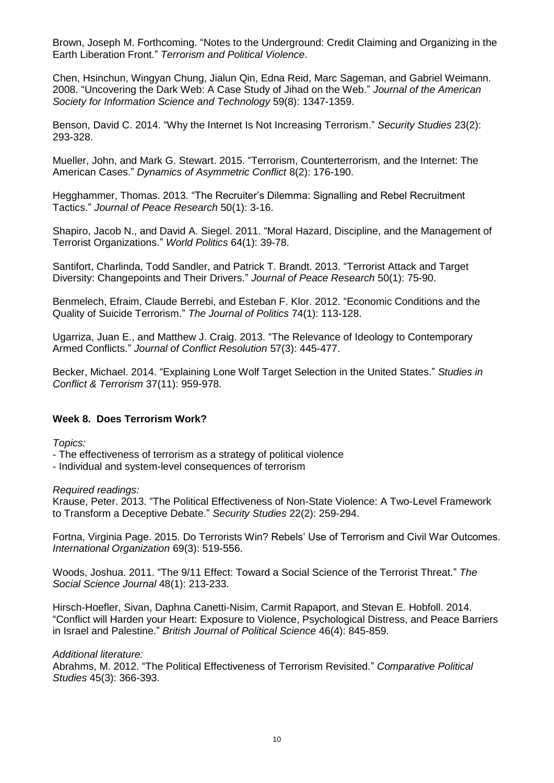Brown, Joseph M. Forthcoming. "Notes to the Underground: Credit Claiming and Organizing in the Earth Liberation Front." *Terrorism and Political Violence*.

Chen, Hsinchun, Wingyan Chung, Jialun Qin, Edna Reid, Marc Sageman, and Gabriel Weimann. 2008. "Uncovering the Dark Web: A Case Study of Jihad on the Web." *Journal of the American Society for Information Science and Technology* 59(8): 1347-1359.

Benson, David C. 2014. "Why the Internet Is Not Increasing Terrorism." *Security Studies* 23(2): 293-328.

Mueller, John, and Mark G. Stewart. 2015. "Terrorism, Counterterrorism, and the Internet: The American Cases." *Dynamics of Asymmetric Conflict* 8(2): 176-190.

Hegghammer, Thomas. 2013. "The Recruiter's Dilemma: Signalling and Rebel Recruitment Tactics." *Journal of Peace Research* 50(1): 3-16.

Shapiro, Jacob N., and David A. Siegel. 2011. "Moral Hazard, Discipline, and the Management of Terrorist Organizations." *World Politics* 64(1): 39-78.

Santifort, Charlinda, Todd Sandler, and Patrick T. Brandt. 2013. "Terrorist Attack and Target Diversity: Changepoints and Their Drivers." *Journal of Peace Research* 50(1): 75-90.

Benmelech, Efraim, Claude Berrebi, and Esteban F. Klor. 2012. "Economic Conditions and the Quality of Suicide Terrorism." *The Journal of Politics* 74(1): 113-128.

Ugarriza, Juan E., and Matthew J. Craig. 2013. "The Relevance of Ideology to Contemporary Armed Conflicts." *Journal of Conflict Resolution* 57(3): 445-477.

Becker, Michael. 2014. "Explaining Lone Wolf Target Selection in the United States." *Studies in Conflict & Terrorism* 37(11): 959-978.

## **Week 8. Does Terrorism Work?**

*Topics:*

- The effectiveness of terrorism as a strategy of political violence

- Individual and system-level consequences of terrorism

*Required readings:*

Krause, Peter. 2013. "The Political Effectiveness of Non-State Violence: A Two-Level Framework to Transform a Deceptive Debate." *Security Studies* 22(2): 259-294.

Fortna, Virginia Page. 2015. Do Terrorists Win? Rebels' Use of Terrorism and Civil War Outcomes. *International Organization* 69(3): 519-556.

Woods, Joshua. 2011. "The 9/11 Effect: Toward a Social Science of the Terrorist Threat." *The Social Science Journal* 48(1): 213-233.

Hirsch-Hoefler, Sivan, Daphna Canetti-Nisim, Carmit Rapaport, and Stevan E. Hobfoll. 2014. "Conflict will Harden your Heart: Exposure to Violence, Psychological Distress, and Peace Barriers in Israel and Palestine." *British Journal of Political Science* 46(4): 845-859.

#### *Additional literature:*

Abrahms, M. 2012. "The Political Effectiveness of Terrorism Revisited." *Comparative Political Studies* 45(3): 366-393.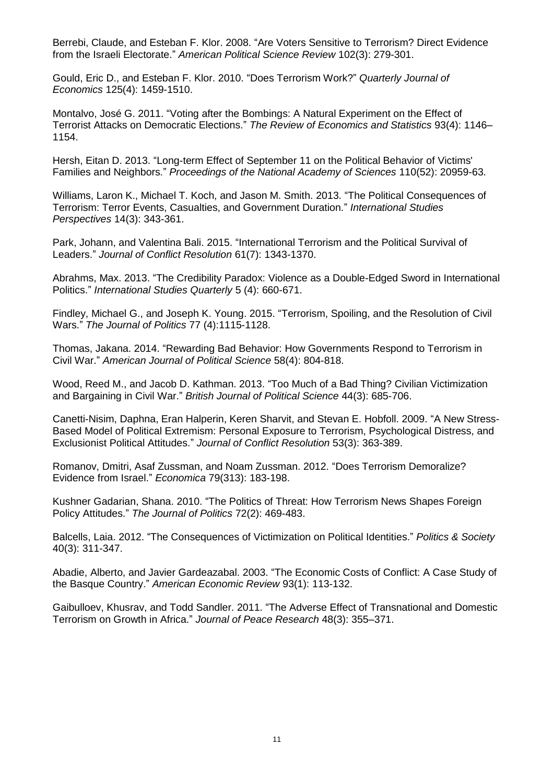Berrebi, Claude, and Esteban F. Klor. 2008. "Are Voters Sensitive to Terrorism? Direct Evidence from the Israeli Electorate." *American Political Science Review* 102(3): 279-301.

Gould, Eric D., and Esteban F. Klor. 2010. "Does Terrorism Work?" *Quarterly Journal of Economics* 125(4): 1459-1510.

Montalvo, José G. 2011. "Voting after the Bombings: A Natural Experiment on the Effect of Terrorist Attacks on Democratic Elections." *The Review of Economics and Statistics* 93(4): 1146– 1154.

Hersh, Eitan D. 2013. "Long-term Effect of September 11 on the Political Behavior of Victims' Families and Neighbors." *Proceedings of the National Academy of Sciences* 110(52): 20959-63.

Williams, Laron K., Michael T. Koch, and Jason M. Smith. 2013. "The Political Consequences of Terrorism: Terror Events, Casualties, and Government Duration." *International Studies Perspectives* 14(3): 343-361.

Park, Johann, and Valentina Bali. 2015. "International Terrorism and the Political Survival of Leaders." *Journal of Conflict Resolution* 61(7): 1343-1370.

Abrahms, Max. 2013. "The Credibility Paradox: Violence as a Double-Edged Sword in International Politics." *International Studies Quarterly* 5 (4): 660-671.

Findley, Michael G., and Joseph K. Young. 2015. "Terrorism, Spoiling, and the Resolution of Civil Wars." *The Journal of Politics* 77 (4):1115-1128.

Thomas, Jakana. 2014. "Rewarding Bad Behavior: How Governments Respond to Terrorism in Civil War." *American Journal of Political Science* 58(4): 804-818.

Wood, Reed M., and Jacob D. Kathman. 2013. "Too Much of a Bad Thing? Civilian Victimization and Bargaining in Civil War." *British Journal of Political Science* 44(3): 685-706.

Canetti-Nisim, Daphna, Eran Halperin, Keren Sharvit, and Stevan E. Hobfoll. 2009. "A New Stress-Based Model of Political Extremism: Personal Exposure to Terrorism, Psychological Distress, and Exclusionist Political Attitudes." *Journal of Conflict Resolution* 53(3): 363-389.

Romanov, Dmitri, Asaf Zussman, and Noam Zussman. 2012. "Does Terrorism Demoralize? Evidence from Israel." *Economica* 79(313): 183-198.

Kushner Gadarian, Shana. 2010. "The Politics of Threat: How Terrorism News Shapes Foreign Policy Attitudes." *The Journal of Politics* 72(2): 469-483.

Balcells, Laia. 2012. "The Consequences of Victimization on Political Identities." *Politics & Society* 40(3): 311-347.

Abadie, Alberto, and Javier Gardeazabal. 2003. "The Economic Costs of Conflict: A Case Study of the Basque Country." *American Economic Review* 93(1): 113-132.

Gaibulloev, Khusrav, and Todd Sandler. 2011. "The Adverse Effect of Transnational and Domestic Terrorism on Growth in Africa." *Journal of Peace Research* 48(3): 355–371.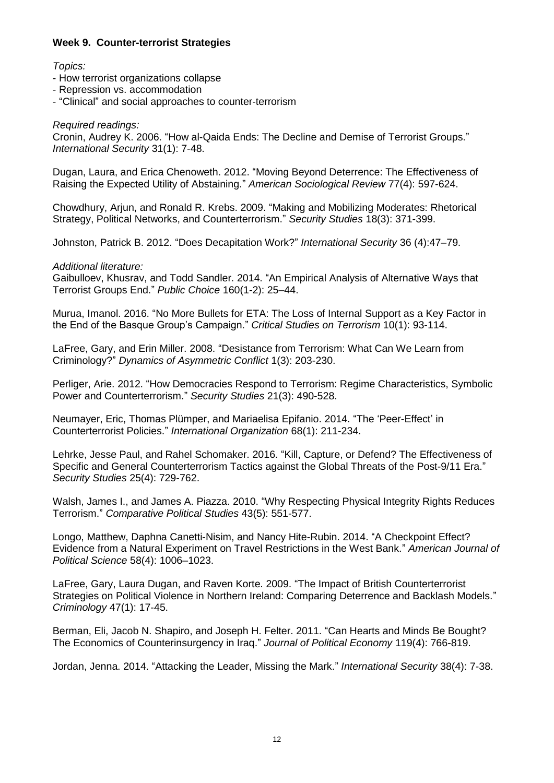## **Week 9. Counter-terrorist Strategies**

#### *Topics:*

- How terrorist organizations collapse
- Repression vs. accommodation
- "Clinical" and social approaches to counter-terrorism

#### *Required readings:*

Cronin, Audrey K. 2006. "How al-Qaida Ends: The Decline and Demise of Terrorist Groups." *International Security* 31(1): 7-48.

Dugan, Laura, and Erica Chenoweth. 2012. "Moving Beyond Deterrence: The Effectiveness of Raising the Expected Utility of Abstaining." *American Sociological Review* 77(4): 597-624.

Chowdhury, Arjun, and Ronald R. Krebs. 2009. "Making and Mobilizing Moderates: Rhetorical Strategy, Political Networks, and Counterterrorism." *Security Studies* 18(3): 371-399.

Johnston, Patrick B. 2012. "Does Decapitation Work?" *International Security* 36 (4):47–79.

*Additional literature:*

Gaibulloev, Khusrav, and Todd Sandler. 2014. "An Empirical Analysis of Alternative Ways that Terrorist Groups End." *Public Choice* 160(1-2): 25–44.

Murua, Imanol. 2016. "No More Bullets for ETA: The Loss of Internal Support as a Key Factor in the End of the Basque Group's Campaign." *Critical Studies on Terrorism* 10(1): 93-114.

LaFree, Gary, and Erin Miller. 2008. "Desistance from Terrorism: What Can We Learn from Criminology?" *Dynamics of Asymmetric Conflict* 1(3): 203-230.

Perliger, Arie. 2012. "How Democracies Respond to Terrorism: Regime Characteristics, Symbolic Power and Counterterrorism." *Security Studies* 21(3): 490-528.

Neumayer, Eric, Thomas Plümper, and Mariaelisa Epifanio. 2014. "The 'Peer-Effect' in Counterterrorist Policies." *International Organization* 68(1): 211-234.

Lehrke, Jesse Paul, and Rahel Schomaker. 2016. "Kill, Capture, or Defend? The Effectiveness of Specific and General Counterterrorism Tactics against the Global Threats of the Post-9/11 Era." *Security Studies* 25(4): 729-762.

Walsh, James I., and James A. Piazza. 2010. "Why Respecting Physical Integrity Rights Reduces Terrorism." *Comparative Political Studies* 43(5): 551-577.

Longo, Matthew, Daphna Canetti-Nisim, and Nancy Hite-Rubin. 2014. "A Checkpoint Effect? Evidence from a Natural Experiment on Travel Restrictions in the West Bank." *American Journal of Political Science* 58(4): 1006–1023.

LaFree, Gary, Laura Dugan, and Raven Korte. 2009. "The Impact of British Counterterrorist Strategies on Political Violence in Northern Ireland: Comparing Deterrence and Backlash Models." *Criminology* 47(1): 17-45.

Berman, Eli, Jacob N. Shapiro, and Joseph H. Felter. 2011. "Can Hearts and Minds Be Bought? The Economics of Counterinsurgency in Iraq." *Journal of Political Economy* 119(4): 766-819.

Jordan, Jenna. 2014. "Attacking the Leader, Missing the Mark." *International Security* 38(4): 7-38.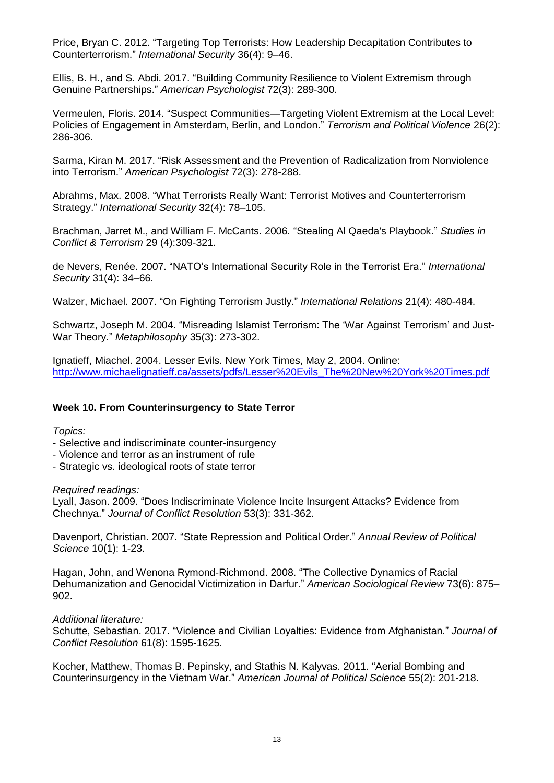Price, Bryan C. 2012. "Targeting Top Terrorists: How Leadership Decapitation Contributes to Counterterrorism." *International Security* 36(4): 9–46.

Ellis, B. H., and S. Abdi. 2017. "Building Community Resilience to Violent Extremism through Genuine Partnerships." *American Psychologist* 72(3): 289-300.

Vermeulen, Floris. 2014. "Suspect Communities—Targeting Violent Extremism at the Local Level: Policies of Engagement in Amsterdam, Berlin, and London." *Terrorism and Political Violence* 26(2): 286-306.

Sarma, Kiran M. 2017. "Risk Assessment and the Prevention of Radicalization from Nonviolence into Terrorism." *American Psychologist* 72(3): 278-288.

Abrahms, Max. 2008. "What Terrorists Really Want: Terrorist Motives and Counterterrorism Strategy." *International Security* 32(4): 78–105.

Brachman, Jarret M., and William F. McCants. 2006. "Stealing Al Qaeda's Playbook." *Studies in Conflict & Terrorism* 29 (4):309-321.

de Nevers, Renée. 2007. "NATO's International Security Role in the Terrorist Era." *International Security* 31(4): 34–66.

Walzer, Michael. 2007. "On Fighting Terrorism Justly." *International Relations* 21(4): 480-484.

Schwartz, Joseph M. 2004. "Misreading Islamist Terrorism: The 'War Against Terrorism' and Just-War Theory." *Metaphilosophy* 35(3): 273-302.

Ignatieff, Miachel. 2004. Lesser Evils. New York Times, May 2, 2004. Online: [http://www.michaelignatieff.ca/assets/pdfs/Lesser%20Evils\\_The%20New%20York%20Times.pdf](http://www.michaelignatieff.ca/assets/pdfs/Lesser%20Evils_The%20New%20York%20Times.pdf)

## **Week 10. From Counterinsurgency to State Terror**

*Topics:*

- Selective and indiscriminate counter-insurgency
- Violence and terror as an instrument of rule
- Strategic vs. ideological roots of state terror

#### *Required readings:*

Lyall, Jason. 2009. "Does Indiscriminate Violence Incite Insurgent Attacks? Evidence from Chechnya." *Journal of Conflict Resolution* 53(3): 331-362.

Davenport, Christian. 2007. "State Repression and Political Order." *Annual Review of Political Science* 10(1): 1-23.

Hagan, John, and Wenona Rymond-Richmond. 2008. "The Collective Dynamics of Racial Dehumanization and Genocidal Victimization in Darfur." *American Sociological Review* 73(6): 875– 902.

#### *Additional literature:*

Schutte, Sebastian. 2017. "Violence and Civilian Loyalties: Evidence from Afghanistan." *Journal of Conflict Resolution* 61(8): 1595-1625.

Kocher, Matthew, Thomas B. Pepinsky, and Stathis N. Kalyvas. 2011. "Aerial Bombing and Counterinsurgency in the Vietnam War." *American Journal of Political Science* 55(2): 201-218.